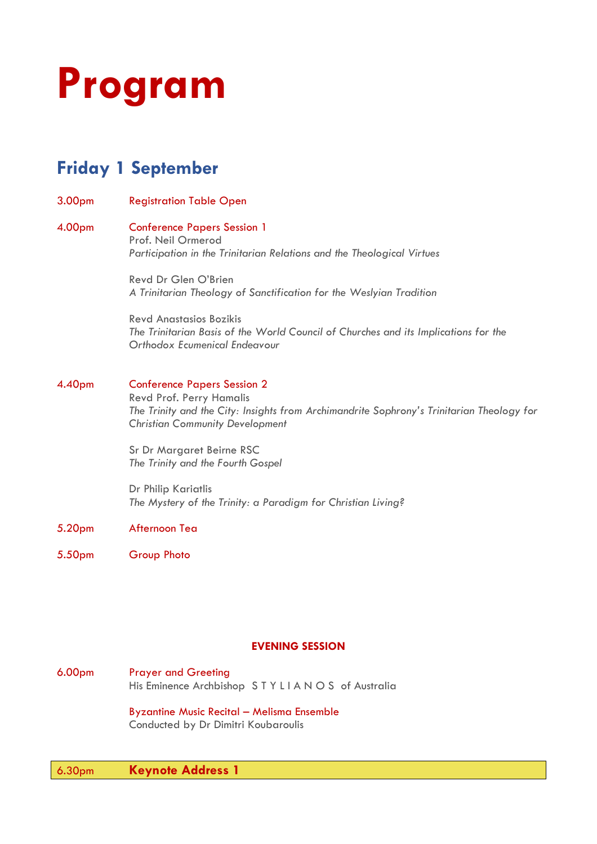

# **Friday 1 September**

3.00pm Registration Table Open

## 4.00pm Conference Papers Session 1 Prof. Neil Ormerod *Participation in the Trinitarian Relations and the Theological Virtues*

Revd Dr Glen O'Brien *A Trinitarian Theology of Sanctification for the Weslyian Tradition*

Revd Anastasios Bozikis *The Trinitarian Basis of the World Council of Churches and its Implications for the Orthodox Ecumenical Endeavour* 

## 4.40pm Conference Papers Session 2

Revd Prof. Perry Hamalis *The Trinity and the City: Insights from Archimandrite Sophrony's Trinitarian Theology for Christian Community Development*

Sr Dr Margaret Beirne RSC *The Trinity and the Fourth Gospel* 

Dr Philip Kariatlis *The Mystery of the Trinity: a Paradigm for Christian Living?* 

## 5.20pm Afternoon Tea

5.50pm Group Photo

## **EVENING SESSION**

6.00pm Prayer and Greeting His Eminence Archbishop STYLIANOS of Australia

> Byzantine Music Recital – Melisma Ensemble Conducted by Dr Dimitri Koubaroulis

## 6.30pm **Keynote Address 1**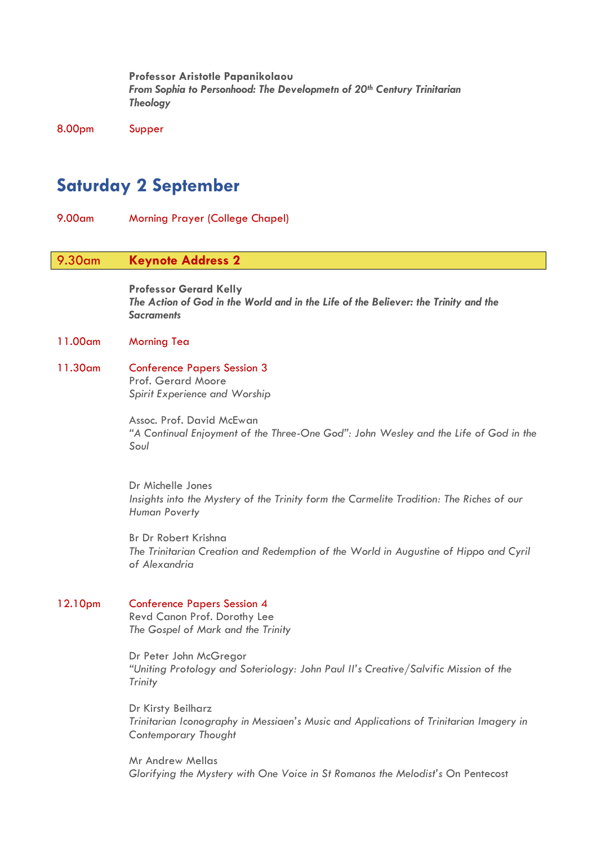**Professor Aristotle Papanikolaou** *From Sophia to Personhood: The Developmetn of 20th Century Trinitarian Theology*

8.00pm Supper

## **Saturday 2 September**

9.00am Morning Prayer (College Chapel)

## 9.30am **Keynote Address 2**

**Professor Gerard Kelly** *The Action of God in the World and in the Life of the Believer: the Trinity and the Sacraments*

## 11.00am Morning Tea

11.30am Conference Papers Session 3 Prof. Gerard Moore

*Spirit Experience and Worship*

Assoc. Prof. David McEwan *"A Continual Enjoyment of the Three-One God": John Wesley and the Life of God in the Soul*

Dr Michelle Jones *Insights into the Mystery of the Trinity form the Carmelite Tradition: The Riches of our Human Poverty*

Br Dr Robert Krishna *The Trinitarian Creation and Redemption of the World in Augustine of Hippo and Cyril of Alexandria*

## 12.10pm Conference Papers Session 4

Revd Canon Prof. Dorothy Lee *The Gospel of Mark and the Trinity*

Dr Peter John McGregor *"Uniting Protology and Soteriology: John Paul II's Creative/Salvific Mission of the Trinity*

Dr Kirsty Beilharz *Trinitarian Iconography in Messiaen's Music and Applications of Trinitarian Imagery in Contemporary Thought*

Mr Andrew Mellas *Glorifying the Mystery with One Voice in St Romanos the Melodist's* On Pentecost